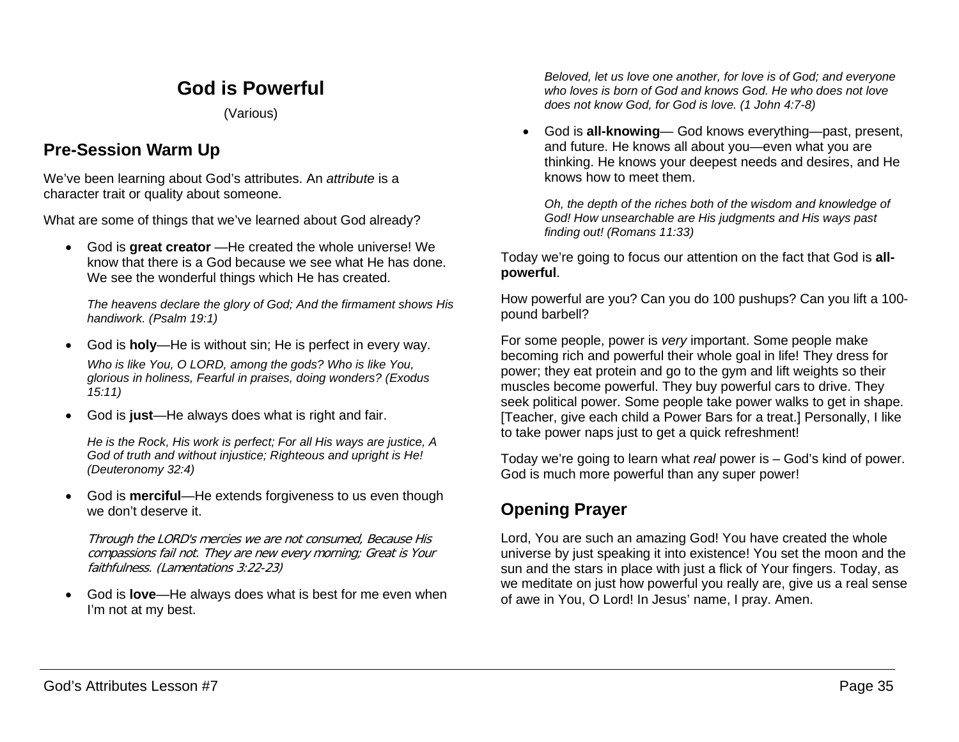# **God is Powerful**

(Various)

## **Pre-Session Warm Up**

We've been learning about God's attributes. An *attribute* is a character trait or quality about someone.

What are some of things that we've learned about God already?

• God is **great creator** —He created the whole universe! We know that there is a God because we see what He has done. We see the wonderful things which He has created.

*The heavens declare the glory of God; And the firmament shows His handiwork. (Psalm 19:1)*

- God is **holy**—He is without sin; He is perfect in every way. *Who is like You, O LORD, among the gods? Who is like You, glorious in holiness, Fearful in praises, doing wonders? (Exodus 15:11)*
- God is **just**—He always does what is right and fair.

*He is the Rock, His work is perfect; For all His ways are justice, A God of truth and without injustice; Righteous and upright is He! (Deuteronomy 32:4)*

• God is **merciful**—He extends forgiveness to us even though we don't deserve it.

Through the LORD's mercies we are not consumed, Because His compassions fail not. They are new every morning; Great is Your faithfulness. (Lamentations 3:22-23)

• God is **love**—He always does what is best for me even when I'm not at my best.

*Beloved, let us love one another, for love is of God; and everyone who loves is born of God and knows God. He who does not love does not know God, for God is love. (1 John 4:7-8)*

• God is **all-knowing**— God knows everything—past, present, and future. He knows all about you—even what you are thinking. He knows your deepest needs and desires, and He knows how to meet them.

*Oh, the depth of the riches both of the wisdom and knowledge of God! How unsearchable are His judgments and His ways past finding out! (Romans 11:33)*

Today we're going to focus our attention on the fact that God is **allpowerful**.

How powerful are you? Can you do 100 pushups? Can you lift a 100 pound barbell?

For some people, power is *very* important. Some people make becoming rich and powerful their whole goal in life! They dress for power; they eat protein and go to the gym and lift weights so their muscles become powerful. They buy powerful cars to drive. They seek political power. Some people take power walks to get in shape. [Teacher, give each child a Power Bars for a treat.] Personally, I like to take power naps just to get a quick refreshment!

Today we're going to learn what *real* power is – God's kind of power. God is much more powerful than any super power!

# **Opening Prayer**

Lord, You are such an amazing God! You have created the whole universe by just speaking it into existence! You set the moon and the sun and the stars in place with just a flick of Your fingers. Today, as we meditate on just how powerful you really are, give us a real sense of awe in You, O Lord! In Jesus' name, I pray. Amen.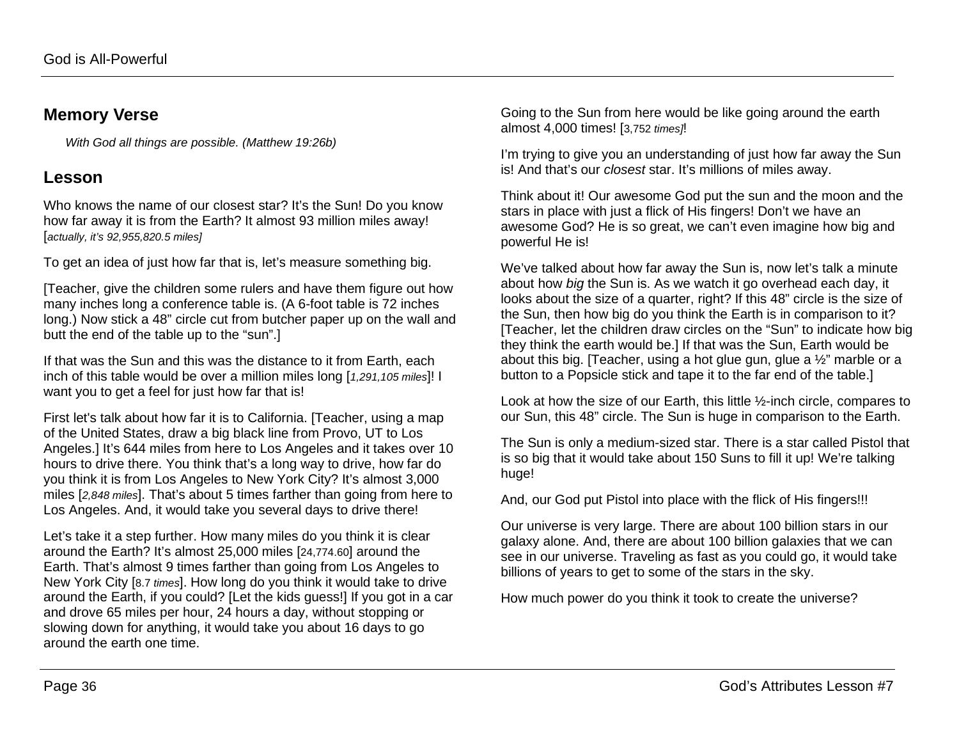### **Memory Verse**

*With God all things are possible. (Matthew 19:26b)*

## **Lesson**

Who knows the name of our closest star? It's the Sun! Do you know how far away it is from the Earth? It almost 93 million miles away! [*actually, it's 92,955,820.5 miles]*

To get an idea of just how far that is, let's measure something big.

[Teacher, give the children some rulers and have them figure out how many inches long a conference table is. (A 6-foot table is 72 inches long.) Now stick a 48" circle cut from butcher paper up on the wall and butt the end of the table up to the "sun".]

If that was the Sun and this was the distance to it from Earth, each inch of this table would be over a million miles long [*1,291,105 miles*]! I want you to get a feel for just how far that is!

First let's talk about how far it is to California. [Teacher, using a map of the United States, draw a big black line from Provo, UT to Los Angeles.] It's 644 miles from here to Los Angeles and it takes over 10 hours to drive there. You think that's a long way to drive, how far do you think it is from Los Angeles to New York City? It's almost 3,000 miles [*2,848 miles*]. That's about 5 times farther than going from here to Los Angeles. And, it would take you several days to drive there!

Let's take it a step further. How many miles do you think it is clear around the Earth? It's almost 25,000 miles [24,774.60] around the Earth. That's almost 9 times farther than going from Los Angeles to New York City [8.7 *times*]. How long do you think it would take to drive around the Earth, if you could? [Let the kids guess!] If you got in a car and drove 65 miles per hour, 24 hours a day, without stopping or slowing down for anything, it would take you about 16 days to go around the earth one time.

Going to the Sun from here would be like going around the earth almost 4,000 times! [3,752 *times]*!

I'm trying to give you an understanding of just how far away the Sun is! And that's our *closest* star. It's millions of miles away.

Think about it! Our awesome God put the sun and the moon and the stars in place with just a flick of His fingers! Don't we have an awesome God? He is so great, we can't even imagine how big and powerful He is!

We've talked about how far away the Sun is, now let's talk a minute about how *big* the Sun is. As we watch it go overhead each day, it looks about the size of a quarter, right? If this 48" circle is the size of the Sun, then how big do you think the Earth is in comparison to it? [Teacher, let the children draw circles on the "Sun" to indicate how big they think the earth would be.] If that was the Sun, Earth would be about this big. [Teacher, using a hot glue gun, glue a ½" marble or a button to a Popsicle stick and tape it to the far end of the table.]

Look at how the size of our Earth, this little ½-inch circle, compares to our Sun, this 48" circle. The Sun is huge in comparison to the Earth.

The Sun is only a medium-sized star. There is a star called Pistol that is so big that it would take about 150 Suns to fill it up! We're talking huge!

And, our God put Pistol into place with the flick of His fingers!!!

Our universe is very large. There are about 100 billion stars in our galaxy alone. And, there are about 100 billion galaxies that we can see in our universe. Traveling as fast as you could go, it would take billions of years to get to some of the stars in the sky.

How much power do you think it took to create the universe?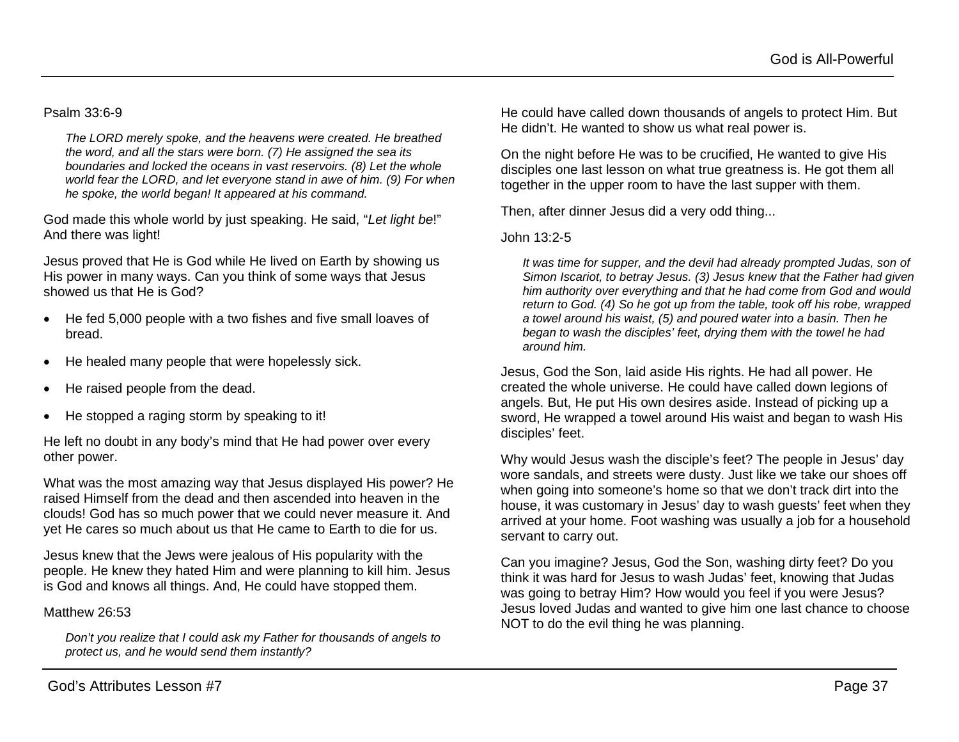#### Psalm 33:6-9

*The LORD merely spoke, and the heavens were created. He breathed the word, and all the stars were born. (7) He assigned the sea its boundaries and locked the oceans in vast reservoirs. (8) Let the whole world fear the LORD, and let everyone stand in awe of him. (9) For when he spoke, the world began! It appeared at his command.*

God made this whole world by just speaking. He said, "*Let light be*!" And there was light!

Jesus proved that He is God while He lived on Earth by showing us His power in many ways. Can you think of some ways that Jesus showed us that He is God?

- He fed 5,000 people with a two fishes and five small loaves of bread.
- He healed many people that were hopelessly sick.
- He raised people from the dead.
- He stopped a raging storm by speaking to it!

He left no doubt in any body's mind that He had power over every other power.

What was the most amazing way that Jesus displayed His power? He raised Himself from the dead and then ascended into heaven in the clouds! God has so much power that we could never measure it. And yet He cares so much about us that He came to Earth to die for us.

Jesus knew that the Jews were jealous of His popularity with the people. He knew they hated Him and were planning to kill him. Jesus is God and knows all things. And, He could have stopped them.

#### Matthew 26:53

*Don't you realize that I could ask my Father for thousands of angels to protect us, and he would send them instantly?* 

He could have called down thousands of angels to protect Him. But He didn't. He wanted to show us what real power is.

On the night before He was to be crucified, He wanted to give His disciples one last lesson on what true greatness is. He got them all together in the upper room to have the last supper with them.

Then, after dinner Jesus did a very odd thing...

#### John 13:2-5

*It was time for supper, and the devil had already prompted Judas, son of Simon Iscariot, to betray Jesus. (3) Jesus knew that the Father had given him authority over everything and that he had come from God and would return to God. (4) So he got up from the table, took off his robe, wrapped a towel around his waist, (5) and poured water into a basin. Then he began to wash the disciples' feet, drying them with the towel he had around him.*

Jesus, God the Son, laid aside His rights. He had all power. He created the whole universe. He could have called down legions of angels. But, He put His own desires aside. Instead of picking up a sword, He wrapped a towel around His waist and began to wash His disciples' feet.

Why would Jesus wash the disciple's feet? The people in Jesus' day wore sandals, and streets were dusty. Just like we take our shoes off when going into someone's home so that we don't track dirt into the house, it was customary in Jesus' day to wash guests' feet when they arrived at your home. Foot washing was usually a job for a household servant to carry out.

Can you imagine? Jesus, God the Son, washing dirty feet? Do you think it was hard for Jesus to wash Judas' feet, knowing that Judas was going to betray Him? How would you feel if you were Jesus? Jesus loved Judas and wanted to give him one last chance to choose NOT to do the evil thing he was planning.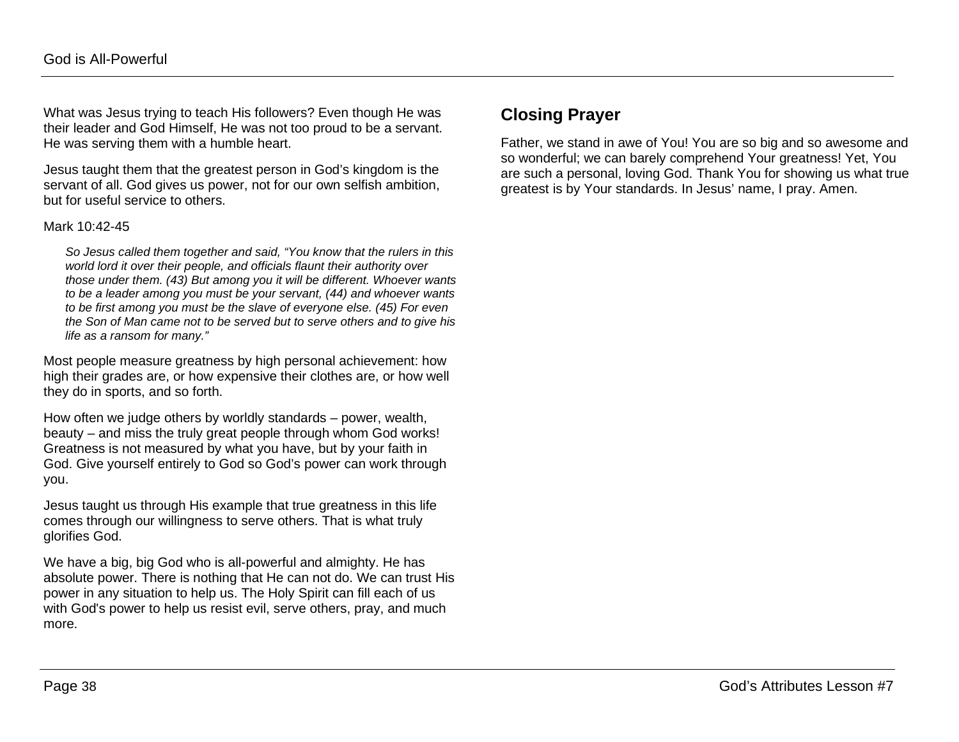What was Jesus trying to teach His followers? Even though He was their leader and God Himself, He was not too proud to be a servant. He was serving them with a humble heart.

Jesus taught them that the greatest person in God's kingdom is the servant of all. God gives us power, not for our own selfish ambition, but for useful service to others.

#### Mark 10:42-45

*So Jesus called them together and said, "You know that the rulers in this world lord it over their people, and officials flaunt their authority over those under them. (43) But among you it will be different. Whoever wants to be a leader among you must be your servant, (44) and whoever wants to be first among you must be the slave of everyone else. (45) For even the Son of Man came not to be served but to serve others and to give his life as a ransom for many."*

Most people measure greatness by high personal achievement: how high their grades are, or how expensive their clothes are, or how well they do in sports, and so forth.

How often we judge others by worldly standards – power, wealth, beauty – and miss the truly great people through whom God works! Greatness is not measured by what you have, but by your faith in God. Give yourself entirely to God so God's power can work through you.

Jesus taught us through His example that true greatness in this life comes through our willingness to serve others. That is what truly glorifies God.

We have a big, big God who is all-powerful and almighty. He has absolute power. There is nothing that He can not do. We can trust His power in any situation to help us. The Holy Spirit can fill each of us with God's power to help us resist evil, serve others, pray, and much more.

### **Closing Prayer**

Father, we stand in awe of You! You are so big and so awesome and so wonderful; we can barely comprehend Your greatness! Yet, You are such a personal, loving God. Thank You for showing us what true greatest is by Your standards. In Jesus' name, I pray. Amen.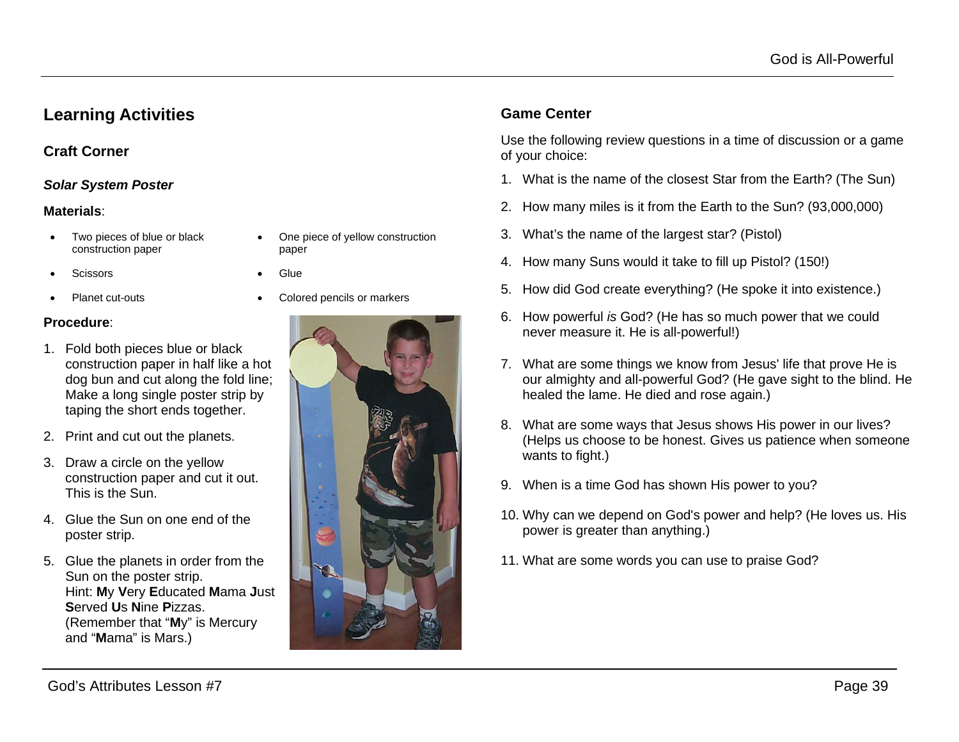### **Learning Activities**

### **Craft Corner**

#### *Solar System Poster*

#### **Materials**:

- Two pieces of blue or black construction paper
- One piece of yellow construction paper
- Scissors Glue
	- Planet cut-outs Colored pencils or markers
- 

#### **Procedure**:

- 1. Fold both pieces blue or black construction paper in half like a hot dog bun and cut along the fold line; Make a long single poster strip by taping the short ends together.
- 2. Print and cut out the planets.
- 3. Draw a circle on the yellow construction paper and cut it out. This is the Sun.
- 4. Glue the Sun on one end of the poster strip.
- 5. Glue the planets in order from the Sun on the poster strip. Hint: **M**y **V**ery **E**ducated **M**ama **J**ust **S**erved **U**s **N**ine **P**izzas. (Remember that "**M**y" is Mercury and "**M**ama" is Mars.)



### **Game Center**

Use the following review questions in a time of discussion or a game of your choice:

- 1. What is the name of the closest Star from the Earth? (The Sun)
- 2. How many miles is it from the Earth to the Sun? (93,000,000)
- 3. What's the name of the largest star? (Pistol)
- 4. How many Suns would it take to fill up Pistol? (150!)
- 5. How did God create everything? (He spoke it into existence.)
- 6. How powerful *is* God? (He has so much power that we could never measure it. He is all-powerful!)
- 7. What are some things we know from Jesus' life that prove He is our almighty and all-powerful God? (He gave sight to the blind. He healed the lame. He died and rose again.)
- 8. What are some ways that Jesus shows His power in our lives? (Helps us choose to be honest. Gives us patience when someone wants to fight.)
- 9. When is a time God has shown His power to you?
- 10. Why can we depend on God's power and help? (He loves us. His power is greater than anything.)
- 11. What are some words you can use to praise God?